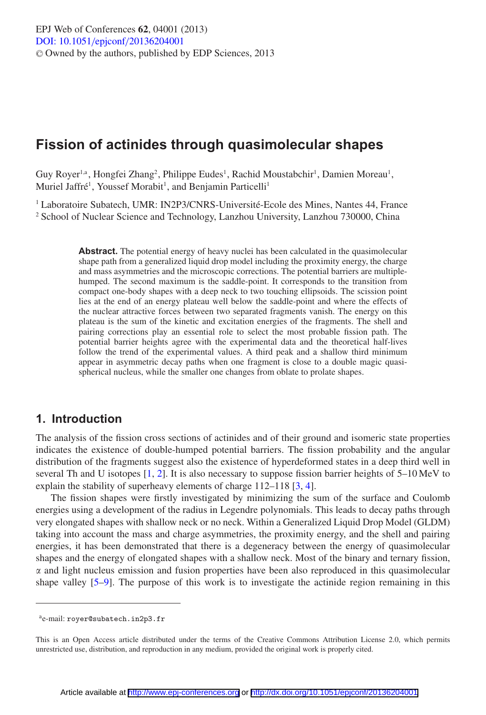# **Fission of actinides through quasimolecular shapes**

Guy Royer<sup>1,a</sup>, Hongfei Zhang<sup>2</sup>, Philippe Eudes<sup>1</sup>, Rachid Moustabchir<sup>1</sup>, Damien Moreau<sup>1</sup>, Muriel Jaffré<sup>1</sup>, Youssef Morabit<sup>1</sup>, and Benjamin Particelli<sup>1</sup>

<sup>1</sup> Laboratoire Subatech, UMR: IN2P3/CNRS-Université-Ecole des Mines, Nantes 44, France <sup>2</sup> School of Nuclear Science and Technology, Lanzhou University, Lanzhou 730000, China

> Abstract. The potential energy of heavy nuclei has been calculated in the quasimolecular shape path from a generalized liquid drop model including the proximity energy, the charge and mass asymmetries and the microscopic corrections. The potential barriers are multiplehumped. The second maximum is the saddle-point. It corresponds to the transition from compact one-body shapes with a deep neck to two touching ellipsoids. The scission point lies at the end of an energy plateau well below the saddle-point and where the effects of the nuclear attractive forces between two separated fragments vanish. The energy on this plateau is the sum of the kinetic and excitation energies of the fragments. The shell and pairing corrections play an essential role to select the most probable fission path. The potential barrier heights agree with the experimental data and the theoretical half-lives follow the trend of the experimental values. A third peak and a shallow third minimum appear in asymmetric decay paths when one fragment is close to a double magic quasispherical nucleus, while the smaller one changes from oblate to prolate shapes.

## **1. Introduction**

The analysis of the fission cross sections of actinides and of their ground and isomeric state properties indicates the existence of double-humped potential barriers. The fission probability and the angular distribution of the fragments suggest also the existence of hyperdeformed states in a deep third well in several Th and U isotopes [\[1,](#page-5-0) [2\]](#page-5-1). It is also necessary to suppose fission barrier heights of 5–10 MeV to explain the stability of superheavy elements of charge 112–118 [\[3](#page-5-2), [4](#page-5-3)].

The fission shapes were firstly investigated by minimizing the sum of the surface and Coulomb energies using a development of the radius in Legendre polynomials. This leads to decay paths through very elongated shapes with shallow neck or no neck. Within a Generalized Liquid Drop Model (GLDM) taking into account the mass and charge asymmetries, the proximity energy, and the shell and pairing energies, it has been demonstrated that there is a degeneracy between the energy of quasimolecular shapes and the energy of elongated shapes with a shallow neck. Most of the binary and ternary fission,  $\alpha$  and light nucleus emission and fusion properties have been also reproduced in this quasimolecular shape valley [\[5](#page-5-4)[–9](#page-5-5)]. The purpose of this work is to investigate the actinide region remaining in this

ae-mail: royer@subatech.in2p3.fr

This is an Open Access article distributed under the terms of the Creative Commons Attribution License 2.0, which permits unrestricted use, distribution, and reproduction in any medium, provided the original work is properly cited.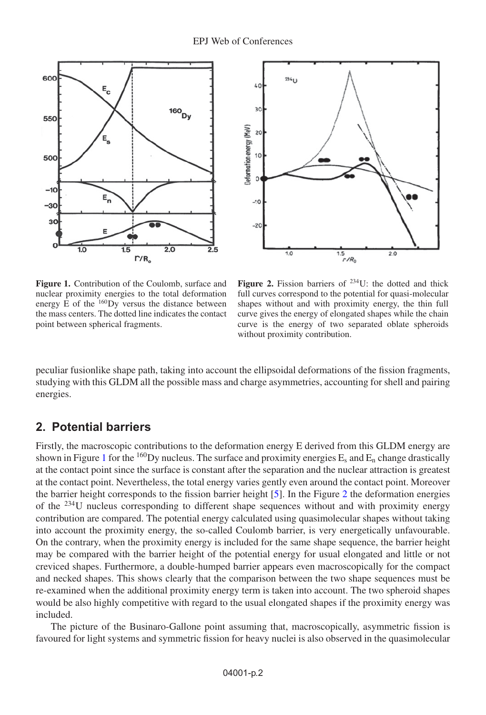<span id="page-1-0"></span>



**Figure 1.** Contribution of the Coulomb, surface and nuclear proximity energies to the total deformation energy  $\vec{E}$  of the  $^{160}$ Dy versus the distance between the mass centers. The dotted line indicates the contact point between spherical fragments.

Figure 2. Fission barriers of <sup>234</sup>U: the dotted and thick full curves correspond to the potential for quasi-molecular shapes without and with proximity energy, the thin full curve gives the energy of elongated shapes while the chain curve is the energy of two separated oblate spheroids without proximity contribution.

<span id="page-1-1"></span>peculiar fusionlike shape path, taking into account the ellipsoidal deformations of the fission fragments, studying with this GLDM all the possible mass and charge asymmetries, accounting for shell and pairing energies.

## **2. Potential barriers**

Firstly, the macroscopic contributions to the deformation energy E derived from this GLDM energy are shown in Figure [1](#page-1-0) for the <sup>160</sup>Dy nucleus. The surface and proximity energies  $E_s$  and  $E_n$  change drastically at the contact point since the surface is constant after the separation and the nuclear attraction is greatest at the contact point. Nevertheless, the total energy varies gently even around the contact point. Moreover the barrier height corresponds to the fission barrier height [\[5\]](#page-5-4). In the Figure [2](#page-1-1) the deformation energies of the 234U nucleus corresponding to different shape sequences without and with proximity energy contribution are compared. The potential energy calculated using quasimolecular shapes without taking into account the proximity energy, the so-called Coulomb barrier, is very energetically unfavourable. On the contrary, when the proximity energy is included for the same shape sequence, the barrier height may be compared with the barrier height of the potential energy for usual elongated and little or not creviced shapes. Furthermore, a double-humped barrier appears even macroscopically for the compact and necked shapes. This shows clearly that the comparison between the two shape sequences must be re-examined when the additional proximity energy term is taken into account. The two spheroid shapes would be also highly competitive with regard to the usual elongated shapes if the proximity energy was included.

The picture of the Businaro-Gallone point assuming that, macroscopically, asymmetric fission is favoured for light systems and symmetric fission for heavy nuclei is also observed in the quasimolecular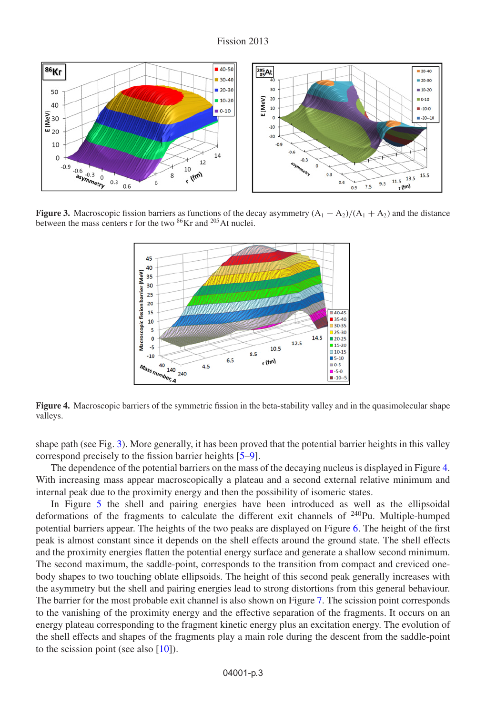<span id="page-2-0"></span>

<span id="page-2-1"></span>**Figure 3.** Macroscopic fission barriers as functions of the decay asymmetry  $(A_1 - A_2)/(A_1 + A_2)$  and the distance between the mass centers r for the two <sup>86</sup>Kr and <sup>205</sup>At nuclei.



**Figure 4.** Macroscopic barriers of the symmetric fission in the beta-stability valley and in the quasimolecular shape valleys.

shape path (see Fig. [3\)](#page-2-0). More generally, it has been proved that the potential barrier heights in this valley correspond precisely to the fission barrier heights [\[5](#page-5-4)[–9\]](#page-5-5).

The dependence of the potential barriers on the mass of the decaying nucleus is displayed in Figure [4.](#page-2-1) With increasing mass appear macroscopically a plateau and a second external relative minimum and internal peak due to the proximity energy and then the possibility of isomeric states.

In Figure [5](#page-3-0) the shell and pairing energies have been introduced as well as the ellipsoidal deformations of the fragments to calculate the different exit channels of  $240$ Pu. Multiple-humped potential barriers appear. The heights of the two peaks are displayed on Figure [6.](#page-3-1) The height of the first peak is almost constant since it depends on the shell effects around the ground state. The shell effects and the proximity energies flatten the potential energy surface and generate a shallow second minimum. The second maximum, the saddle-point, corresponds to the transition from compact and creviced onebody shapes to two touching oblate ellipsoids. The height of this second peak generally increases with the asymmetry but the shell and pairing energies lead to strong distortions from this general behaviour. The barrier for the most probable exit channel is also shown on Figure [7.](#page-3-2) The scission point corresponds to the vanishing of the proximity energy and the effective separation of the fragments. It occurs on an energy plateau corresponding to the fragment kinetic energy plus an excitation energy. The evolution of the shell effects and shapes of the fragments play a main role during the descent from the saddle-point to the scission point (see also  $[10]$ ).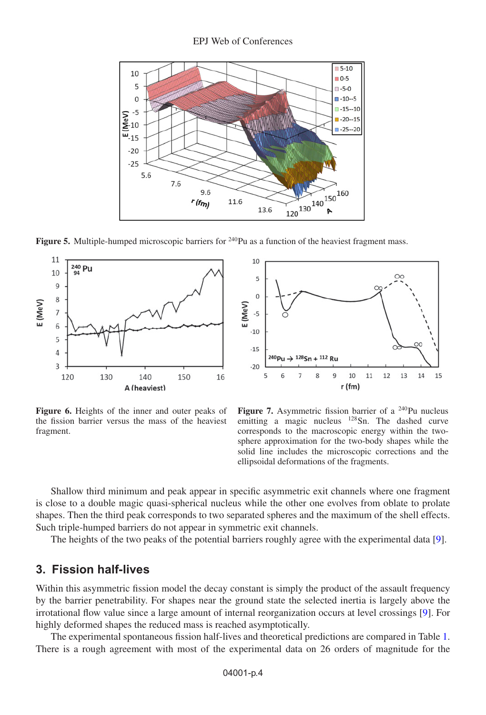#### EPJ Web of Conferences

<span id="page-3-0"></span>

**Figure 5.** Multiple-humped microscopic barriers for <sup>240</sup>Pu as a function of the heaviest fragment mass.

<span id="page-3-1"></span>

**Figure 6.** Heights of the inner and outer peaks of the fission barrier versus the mass of the heaviest fragment.



**Figure 7.** Asymmetric fission barrier of a <sup>240</sup>Pu nucleus emitting a magic nucleus  $128$  Sn. The dashed curve corresponds to the macroscopic energy within the twosphere approximation for the two-body shapes while the solid line includes the microscopic corrections and the ellipsoidal deformations of the fragments.

<span id="page-3-2"></span>Shallow third minimum and peak appear in specific asymmetric exit channels where one fragment is close to a double magic quasi-spherical nucleus while the other one evolves from oblate to prolate shapes. Then the third peak corresponds to two separated spheres and the maximum of the shell effects. Such triple-humped barriers do not appear in symmetric exit channels.

The heights of the two peaks of the potential barriers roughly agree with the experimental data [\[9\]](#page-5-5).

## **3. Fission half-lives**

Within this asymmetric fission model the decay constant is simply the product of the assault frequency by the barrier penetrability. For shapes near the ground state the selected inertia is largely above the irrotational flow value since a large amount of internal reorganization occurs at level crossings [\[9](#page-5-5)]. For highly deformed shapes the reduced mass is reached asymptotically.

The experimental spontaneous fission half-lives and theoretical predictions are compared in Table [1.](#page-4-0) There is a rough agreement with most of the experimental data on 26 orders of magnitude for the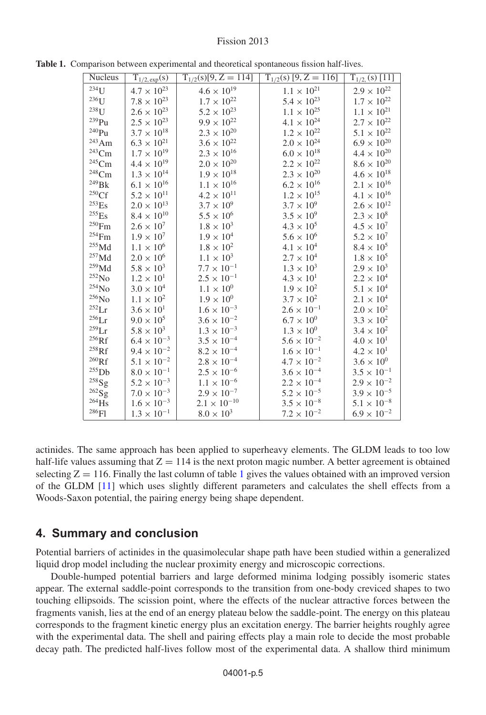| <b>Nucleus</b>      | $T_{1/2, exp}(s)$    | $T_{1/2}(s)[9, Z = 114]$ | $\overline{T_{1/2}(s)[9, Z=116]}$ | $T_{1/2}$ (s) [11]   |
|---------------------|----------------------|--------------------------|-----------------------------------|----------------------|
| $234$ U             | $4.7 \times 10^{23}$ | $4.6 \times 10^{19}$     | $1.1\times10^{21}$                | $2.9 \times 10^{22}$ |
| $236$ U             | $7.8 \times 10^{23}$ | $1.7\times10^{22}$       | $5.4 \times 10^{23}$              | $1.7\times10^{22}$   |
| $238$ U             | $2.6 \times 10^{23}$ | $5.2 \times 10^{23}$     | $1.1\times10^{25}$                | $1.1\times10^{21}$   |
| $^{239}\rm{Pu}$     | $2.5\times10^{23}$   | $9.9 \times 10^{22}$     | $4.1 \times 10^{24}$              | $2.7\times10^{22}$   |
| $^{240}\mathrm{Pu}$ | $3.7\times10^{18}$   | $2.3\times10^{20}$       | $1.2\times10^{22}$                | $5.1\times10^{22}$   |
| $\mathrm{^{243}Am}$ | $6.3 \times 10^{21}$ | $3.6\times10^{22}$       | $2.0\times10^{24}$                | $6.9 \times 10^{20}$ |
| $\rm ^{243}Cm$      | $1.7 \times 10^{19}$ | $2.3 \times 10^{16}$     | $6.0 \times 10^{18}$              | $4.4 \times 10^{20}$ |
| $\mathrm{^{245}Cm}$ | $4.4\times10^{19}$   | $2.0\times10^{20}$       | $2.2 \times 10^{22}$              | $8.6\times10^{20}$   |
| $\rm ^{248}Cm$      | $1.3\times10^{14}$   | $1.9\times10^{18}$       | $2.3\times10^{20}$                | $4.6 \times 10^{18}$ |
| $^{249}$ BK         | $6.1\times10^{16}$   | $1.1\times10^{16}$       | $6.2\times10^{16}$                | $2.1\times10^{16}$   |
| 250Cf               | $5.2\times10^{11}$   | $4.2 \times 10^{11}$     | $1.2\times10^{15}$                | $4.1\times10^{16}$   |
| $^{253}\mathrm{Es}$ | $2.0 \times 10^{13}$ | $3.7 \times 10^{9}$      | $3.7 \times 10^{9}$               | $2.6 \times 10^{12}$ |
| $^{255}\mathrm{Es}$ | $8.4\times10^{10}$   | $5.5 \times 10^{6}$      | $3.5 \times 10^{9}$               | $2.3\times10^8$      |
| $^{250}\mathrm{Fm}$ | $2.6\times10^7$      | $1.8\times10^3$          | $4.3 \times 10^{5}$               | $4.5\times10^7$      |
| $^{254}\mathrm{Fm}$ | $1.9 \times 10^{7}$  | $1.9\times10^4$          | $5.6 \times 10^{6}$               | $5.2 \times 10^{7}$  |
| $^{255}\mbox{Md}$   | $1.1 \times 10^{6}$  | $1.8 \times 10^{2}$      | $4.1 \times 10^{4}$               | $8.4\times10^5$      |
| $^{257}\mbox{Md}$   | $2.0\times10^6$      | $1.1 \times 10^{3}$      | $2.7 \times 10^{4}$               | $1.8 \times 10^{5}$  |
| $\rm ^{259}Nd$      | $5.8\times10^3$      | $7.7\times10^{-1}$       | $1.3 \times 10^{3}$               | $2.9 \times 10^{3}$  |
| $^{252}\mathrm{No}$ | $1.2 \times 10^{1}$  | $2.5 \times 10^{-1}$     | $4.3 \times 10^{1}$               | $2.2 \times 10^{4}$  |
| $^{254}\rm{No}$     | $3.0 \times 10^{4}$  | $1.1\times10^{0}$        | $1.9\times10^2$                   | $5.1\times10^4$      |
| $^{256}\rm{No}$     | $1.1 \times 10^{2}$  | $1.9 \times 10^{0}$      | $3.7 \times 10^{2}$               | $2.1 \times 10^{4}$  |
| $^{252}\rm{Lr}$     | $3.6 \times 10^{1}$  | $1.6\times10^{-3}$       | $2.6 \times 10^{-1}$              | $2.0 \times 10^{2}$  |
| $^{256}\rm{Lr}$     | $9.0 \times 10^{5}$  | $3.6 \times 10^{-2}$     | $6.7 \times 10^{0}$               | $3.3 \times 10^{2}$  |
| $259$ Lr            | $5.8 \times 10^{3}$  | $1.3 \times 10^{-3}$     | $1.3\times10^{0}$                 | $3.4 \times 10^{2}$  |
| $^{256}\mathrm{Rf}$ | $6.4 \times 10^{-3}$ | $3.5 \times 10^{-4}$     | $5.6 \times 10^{-2}$              | $4.0 \times 10^{1}$  |
| $^{258}$ Rf         | $9.4 \times 10^{-2}$ | $8.2 \times 10^{-4}$     | $1.6 \times 10^{-1}$              | $4.2 \times 10^{1}$  |
| $^{260}\mathrm{Rf}$ | $5.1\times10^{-2}$   | $2.8 \times 10^{-4}$     | $4.7 \times 10^{-2}$              | $3.6\times10^{0}$    |
| $^{255}$ Db         | $8.0\times10^{-1}$   | $2.5\times10^{-6}$       | $3.6 \times 10^{-4}$              | $3.5\times10^{-1}$   |
| $^{258}\mathrm{Sg}$ | $5.2\times10^{-3}$   | $1.1\times10^{-6}$       | $2.2\times10^{-4}$                | $2.9 \times 10^{-2}$ |
| $^{262}{\rm Sg}$    | $7.0 \times 10^{-3}$ | $2.9\times10^{-7}$       | $5.2 \times 10^{-5}$              | $3.9 \times 10^{-5}$ |
| $^{264}\mathrm{Hs}$ | $1.6 \times 10^{-3}$ | $2.1\times10^{-10}$      | $3.5 \times 10^{-8}$              | $5.1\times10^{-8}$   |
| $^{286}\mathrm{Fl}$ | $1.3 \times 10^{-1}$ | $8.0 \times 10^{3}$      | $7.2\times10^{-2}$                | $6.9 \times 10^{-2}$ |

<span id="page-4-0"></span>**Table 1.** Comparison between experimental and theoretical spontaneous fission half-lives.

actinides. The same approach has been applied to superheavy elements. The GLDM leads to too low half-life values assuming that  $Z = 114$  is the next proton magic number. A better agreement is obtained selecting  $Z = 116$  $Z = 116$  $Z = 116$ . Finally the last column of table 1 gives the values obtained with an improved version of the GLDM [\[11\]](#page-5-7) which uses slightly different parameters and calculates the shell effects from a Woods-Saxon potential, the pairing energy being shape dependent.

### **4. Summary and conclusion**

Potential barriers of actinides in the quasimolecular shape path have been studied within a generalized liquid drop model including the nuclear proximity energy and microscopic corrections.

Double-humped potential barriers and large deformed minima lodging possibly isomeric states appear. The external saddle-point corresponds to the transition from one-body creviced shapes to two touching ellipsoids. The scission point, where the effects of the nuclear attractive forces between the fragments vanish, lies at the end of an energy plateau below the saddle-point. The energy on this plateau corresponds to the fragment kinetic energy plus an excitation energy. The barrier heights roughly agree with the experimental data. The shell and pairing effects play a main role to decide the most probable decay path. The predicted half-lives follow most of the experimental data. A shallow third minimum